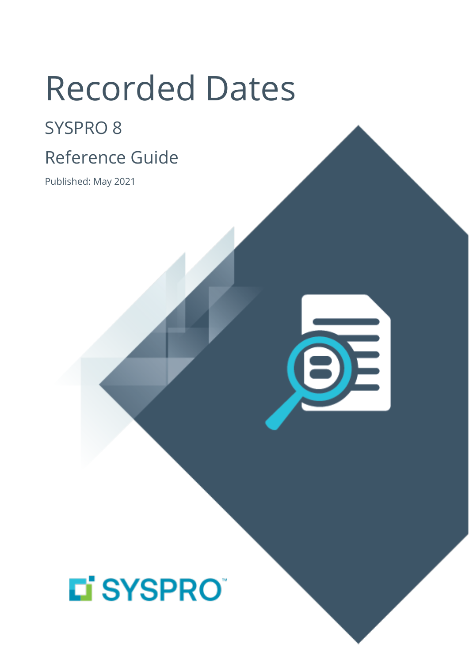# Recorded Dates

## SYSPRO 8

## Reference Guide

Published: May 2021



# L'SYSPRO®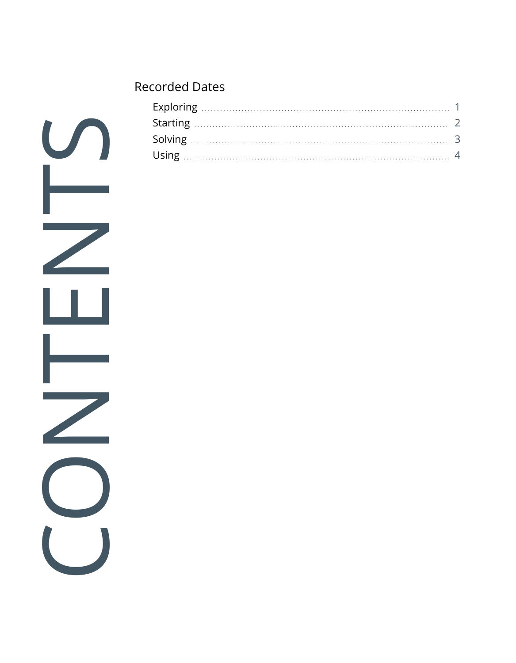#### [Recorded](#page-2-0) Dates

CONTENTS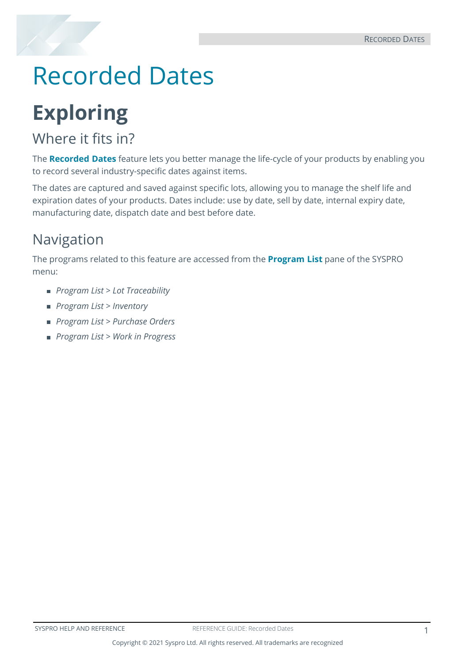## <span id="page-2-1"></span><span id="page-2-0"></span>Recorded Dates

## **Exploring**

### Where it fits in?

The **Recorded Dates** feature lets you better manage the life-cycle of your products by enabling you to record several industry-specific dates against items.

The dates are captured and saved against specific lots, allowing you to manage the shelf life and expiration dates of your products. Dates include: use by date, sell by date, internal expiry date, manufacturing date, dispatch date and best before date.

### Navigation

The programs related to this feature are accessed from the **Program List** pane of the SYSPRO menu:

- *Program List > Lot Traceability*
- *Program List > Inventory*
- *Program List > Purchase Orders*
- *Program List > Work in Progress*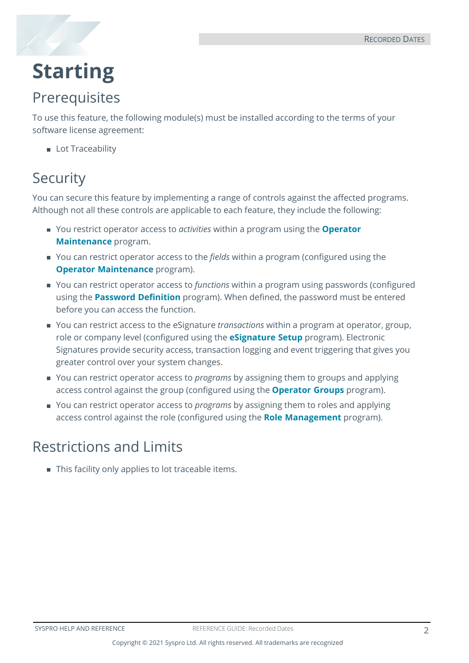

## <span id="page-3-0"></span>**Starting**

### **Prerequisites**

To use this feature, the following module(s) must be installed according to the terms of your software license agreement:

**Lot Traceability** 

### **Security**

You can secure this feature by implementing a range of controls against the affected programs. Although not all these controls are applicable to each feature, they include the following:

- You restrict operator access to *activities* within a program using the **Operator Maintenance** program.
- You can restrict operator access to the *fields* within a program (configured using the **Operator Maintenance** program).
- You can restrict operator access to *functions* within a program using passwords (configured using the **Password Definition** program). When defined, the password must be entered before you can access the function.
- You can restrict access to the eSignature *transactions* within a program at operator, group, role or company level (configured using the **eSignature Setup** program). Electronic Signatures provide security access, transaction logging and event triggering that gives you greater control over your system changes.
- You can restrict operator access to *programs* by assigning them to groups and applying access control against the group (configured using the **Operator Groups** program).
- You can restrict operator access to *programs* by assigning them to roles and applying access control against the role (configured using the **Role Management** program).

### Restrictions and Limits

This facility only applies to lot traceable items.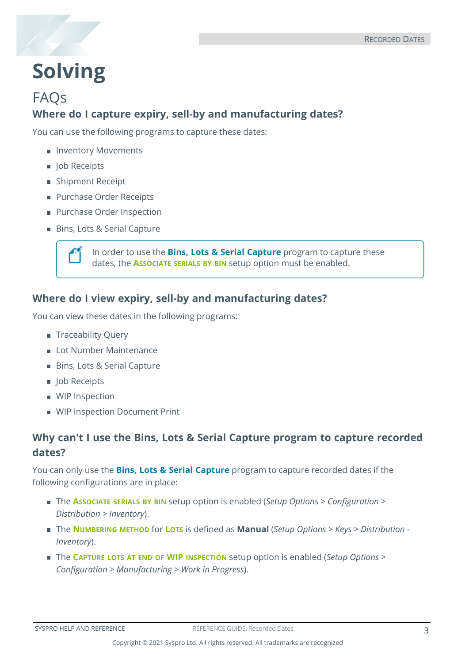

## <span id="page-4-0"></span>**Solving**

#### FAQs **Where do I capture expiry, sell-by and manufacturing dates?**

You can use the following programs to capture these dates:

- **Inventory Movements**
- **Job Receipts**
- **Shipment Receipt**
- **Purchase Order Receipts**
- **Purchase Order Inspection**
- Bins, Lots & Serial Capture

In order to use the **Bins, Lots & Serial Capture** program to capture these dates, the **ASSOCIATE SERIALS BY BIN** setup option must be enabled.

#### **Where do I view expiry, sell-by and manufacturing dates?**

You can view these dates in the following programs:

- **Traceability Query**
- **Lot Number Maintenance**
- Bins, Lots & Serial Capture
- **Job Receipts**
- **WIP Inspection**
- **WIP Inspection Document Print**

#### **Why can't I use the Bins, Lots & Serial Capture program to capture recorded dates?**

You can only use the **Bins, Lots & Serial Capture** program to capture recorded dates if the following configurations are in place:

- The **ASSOCIATE SERIALS BY BIN** setup option is enabled (*Setup Options > Configuration > Distribution > Inventory*).
- The **NUMBERING METHOD** for **LOTS** is defined as **Manual** (*Setup Options > Keys > Distribution - Inventory*).
- The **CAPTURE LOTS AT END OF WIP INSPECTION** setup option is enabled (*Setup Options > Configuration > Manufacturing > Work in Progress*).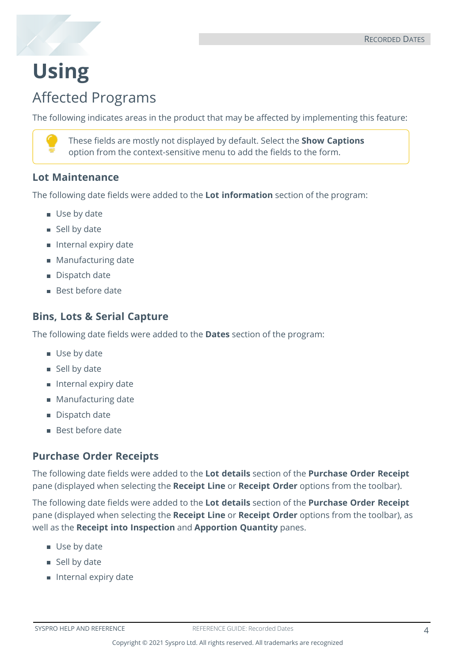

## <span id="page-5-0"></span>**Using**

### Affected Programs

The following indicates areas in the product that may be affected by implementing this feature:

These fields are mostly not displayed by default. Select the **Show Captions** option from the context-sensitive menu to add the fields to the form.

#### **Lot Maintenance**

The following date fields were added to the **Lot information** section of the program:

- **Use by date**
- Sell by date
- **Internal expiry date**
- **Manufacturing date**
- Dispatch date
- Best before date

#### **Bins, Lots & Serial Capture**

The following date fields were added to the **Dates** section of the program:

- **Use by date**
- $\blacksquare$  Sell by date
- **Internal expiry date**
- **Manufacturing date**
- Dispatch date
- **Best before date**

#### **Purchase Order Receipts**

The following date fields were added to the **Lot details** section of the **Purchase Order Receipt** pane (displayed when selecting the **Receipt Line** or **Receipt Order** options from the toolbar).

The following date fields were added to the **Lot details** section of the **Purchase Order Receipt** pane (displayed when selecting the **Receipt Line** or **Receipt Order** options from the toolbar), as well as the **Receipt into Inspection** and **Apportion Quantity** panes.

- **Use by date**
- Sell by date
- **Internal expiry date**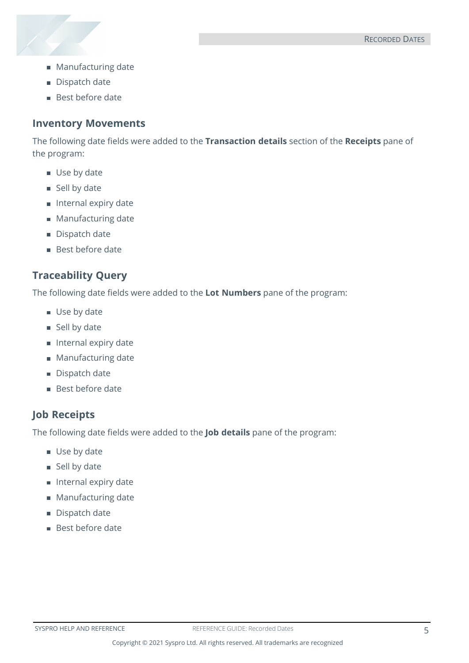- **Manufacturing date**
- Dispatch date
- Best before date

#### **Inventory Movements**

The following date fields were added to the **Transaction details** section of the **Receipts** pane of the program:

- **Use by date**
- Sell by date
- **Internal expiry date**
- **Manufacturing date**
- Dispatch date
- Best before date

#### **Traceability Query**

The following date fields were added to the **Lot Numbers** pane of the program:

- **Use by date**
- Sell by date
- **Internal expiry date**
- **Manufacturing date**
- Dispatch date
- Best before date

#### **Job Receipts**

The following date fields were added to the **Job details** pane of the program:

- **Use by date**
- Sell by date
- **Internal expiry date**
- **Manufacturing date**
- Dispatch date
- Best before date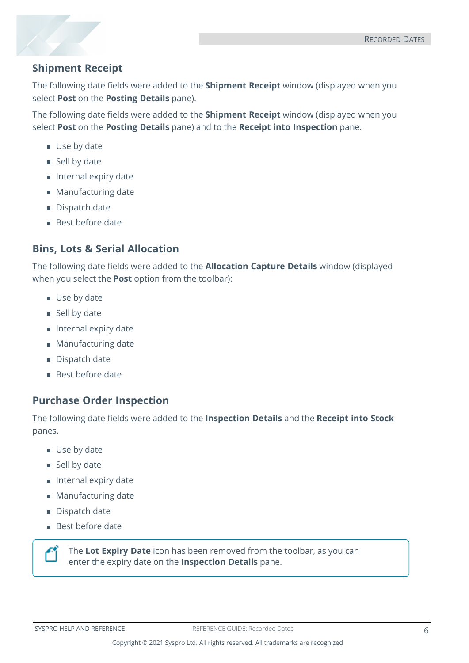

The following date fields were added to the **Shipment Receipt** window (displayed when you select **Post** on the **Posting Details** pane).

The following date fields were added to the **Shipment Receipt** window (displayed when you select **Post** on the **Posting Details** pane) and to the **Receipt into Inspection** pane.

- **Use by date**
- Sell by date
- **Internal expiry date**
- **Manufacturing date**
- Dispatch date
- **Best before date**

#### **Bins, Lots & Serial Allocation**

The following date fields were added to the **Allocation Capture Details** window (displayed when you select the **Post** option from the toolbar):

- **Use by date**
- $\blacksquare$  Sell by date
- **Internal expiry date**
- Manufacturing date
- Dispatch date
- **Best before date**

#### **Purchase Order Inspection**

The following date fields were added to the **Inspection Details** and the **Receipt into Stock** panes.

- **Use by date**
- Sell by date
- **Internal expiry date**
- **Manufacturing date**
- Dispatch date
- **Best before date**

The **Lot Expiry Date** icon has been removed from the toolbar, as you can enter the expiry date on the **Inspection Details** pane.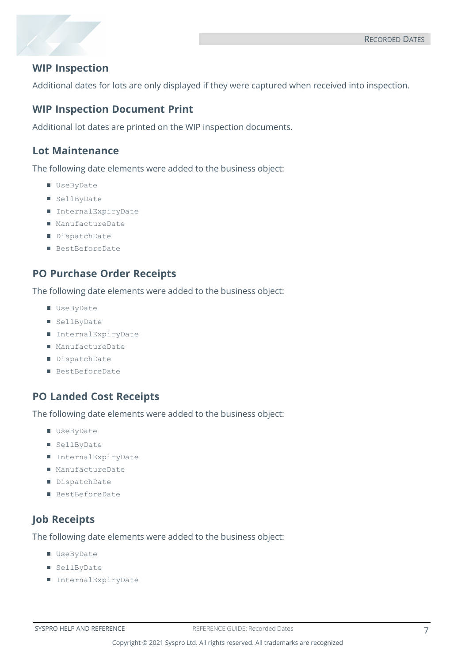

#### **WIP Inspection**

Additional dates for lots are only displayed if they were captured when received into inspection.

#### **WIP Inspection Document Print**

Additional lot dates are printed on the WIP inspection documents.

#### **Lot Maintenance**

The following date elements were added to the business object:

- UseByDate
- SellByDate
- InternalExpiryDate
- ManufactureDate
- DispatchDate
- BestBeforeDate

#### **PO Purchase Order Receipts**

The following date elements were added to the business object:

- UseByDate
- SellByDate
- InternalExpiryDate
- ManufactureDate
- DispatchDate
- BestBeforeDate

#### **PO Landed Cost Receipts**

The following date elements were added to the business object:

- UseByDate
- sellByDate
- InternalExpiryDate
- ManufactureDate
- DispatchDate
- BestBeforeDate

#### **Job Receipts**

The following date elements were added to the business object:

- UseByDate
- SellByDate
- InternalExpiryDate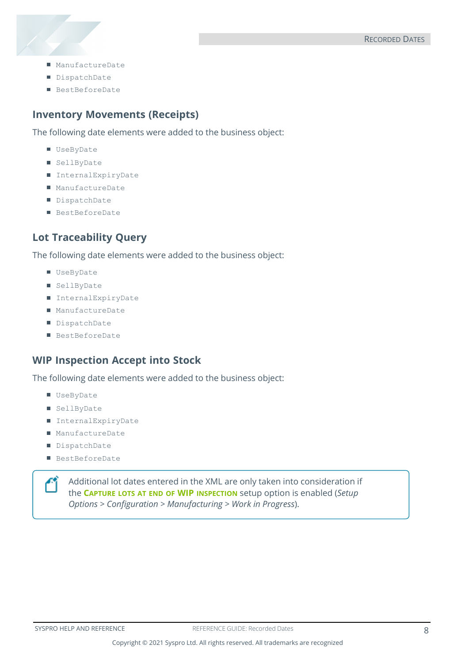- ManufactureDate
- DispatchDate
- BestBeforeDate

#### **Inventory Movements (Receipts)**

The following date elements were added to the business object:

- UseByDate
- SellByDate
- InternalExpiryDate
- ManufactureDate
- DispatchDate
- BestBeforeDate

#### **Lot Traceability Query**

The following date elements were added to the business object:

- UseByDate
- SellByDate
- InternalExpiryDate
- ManufactureDate
- DispatchDate
- BestBeforeDate

#### **WIP Inspection Accept into Stock**

The following date elements were added to the business object:

- UseByDate
- SellByDate
- InternalExpiryDate
- ManufactureDate
- DispatchDate
- BestBeforeDate

Additional lot dates entered in the XML are only taken into consideration if the **CAPTURE LOTS AT END OF WIP INSPECTION** setup option is enabled (*Setup Options > Configuration > Manufacturing > Work in Progress*).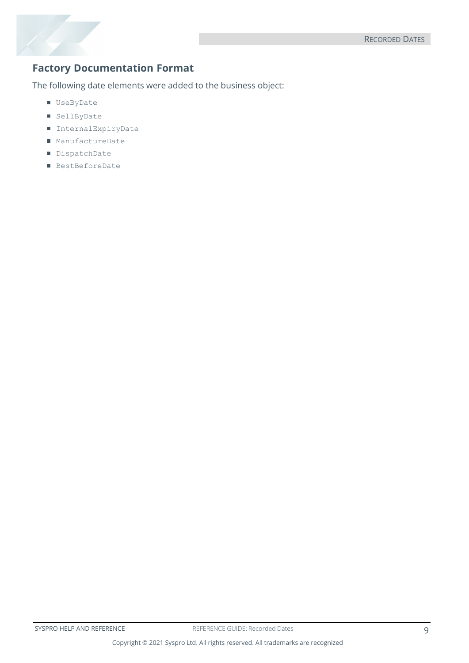

#### **Factory Documentation Format**

The following date elements were added to the business object:

- UseByDate
- SellByDate
- InternalExpiryDate
- ManufactureDate
- DispatchDate
- BestBeforeDate